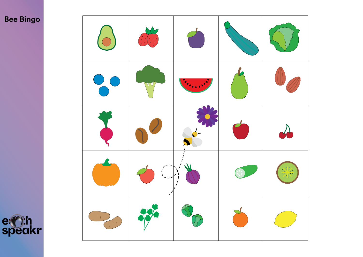# **Bee Bingo**



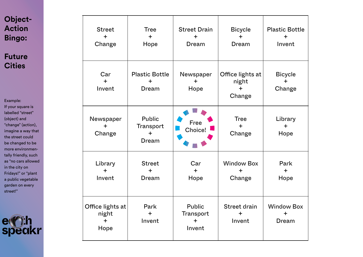## **Object-Action Bingo:**

**Future Cities**

Example: If your square is labelled "street" (object) and "change" (action), imagine a way that the street could be changed to be more environmentally friendly, such as "no cars allowed in the city on Fridays!" or "plant a public vegetable garden on every street!"



| <b>Street</b><br>÷<br>Change                   | <b>Tree</b><br>$+$<br>Hope                  | <b>Street Drain</b><br>$\div$<br>Dream            | <b>Bicycle</b><br>$\div$<br>Dream          | <b>Plastic Bottle</b><br>┿<br>Invent    |
|------------------------------------------------|---------------------------------------------|---------------------------------------------------|--------------------------------------------|-----------------------------------------|
| Car<br>$+$<br>Invent                           | <b>Plastic Bottle</b><br>$\ddot{}$<br>Dream | Newspaper<br>$+$<br>Hope                          | Office lights at<br>night<br>$+$<br>Change | <b>Bicycle</b><br>$\ddot{}$<br>Change   |
| Newspaper<br>$+$<br>Change                     | <b>Public</b><br>Transport<br>$+$<br>Dream  | Free<br>Choice!                                   | <b>Tree</b><br>$+$<br>Change               | Library<br>$+$<br>Hope                  |
| Library<br>$+$<br>Invent                       | <b>Street</b><br>$+$<br>Dream               | Car<br>$+$<br>Hope                                | <b>Window Box</b><br>$+$<br>Change         | Park<br>$+$<br>Hope                     |
| Office lights at<br>night<br>$\ddot{}$<br>Hope | Park<br>$+$<br>Invent                       | <b>Public</b><br>Transport<br>$\ddot{}$<br>Invent | Street drain<br>$+$<br>Invent              | <b>Window Box</b><br>$\ddot{}$<br>Dream |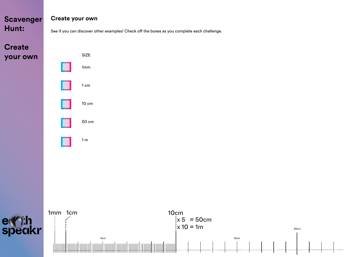**Create your own**



20cm

See if you can discover other examples! Check off the boxes as you complete each challenge.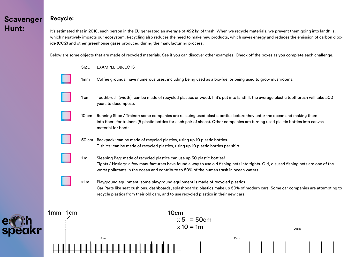e Cih<br>speakr

#### **Recycle:**

It's estimated that in 2018, each person in the EU generated an average of 492 kg of trash. When we recycle materials, we prevent them going into landfills, which negatively impacts our ecosystem. Recycling also reduces the need to make new products, which saves energy and reduces the emission of carbon dioxide (CO2) and other greenhouse gases produced during the manufacturing process.

Below are some objects that are made of recycled materials. See if you can discover other examples! Check off the boxes as you complete each challenge.

|                        | <b>SIZE</b>     | <b>EXAMPLE OBJECTS</b>                                                                                                                                                                                                                                                                                     |  |  |  |  |  |  |
|------------------------|-----------------|------------------------------------------------------------------------------------------------------------------------------------------------------------------------------------------------------------------------------------------------------------------------------------------------------------|--|--|--|--|--|--|
|                        | 1 <sub>mm</sub> | Coffee grounds: have numerous uses, including being used as a bio-fuel or being used to grow mushrooms.                                                                                                                                                                                                    |  |  |  |  |  |  |
|                        | 1 cm            | Toothbrush (width): can be made of recycled plastics or wood. If it's put into landfill, the average plastic toothbrush will take 500<br>years to decompose.                                                                                                                                               |  |  |  |  |  |  |
|                        | $10 \text{ cm}$ | Running Shoe / Trainer: some companies are rescuing used plastic bottles before they enter the ocean and making them<br>into fibers for trainers (5 plastic bottles for each pair of shoes). Other companies are turning used plastic bottles into canvas<br>material for boots.                           |  |  |  |  |  |  |
|                        |                 | 50 cm Backpack: can be made of recycled plastics, using up 10 plastic bottles.<br>T-shirts: can be made of recycled plastics, using up 10 plastic bottles per shirt.                                                                                                                                       |  |  |  |  |  |  |
|                        | 1 <sub>m</sub>  | Sleeping Bag: made of recycled plastics can use up 50 plastic bottles!<br>Tights / Hosiery: a few manufacturers have found a way to use old fishing nets into tights. Old, disused fishing nets are one of the<br>worst pollutants in the ocean and contribute to 50% of the human trash in ocean waters.  |  |  |  |  |  |  |
|                        | >1 m            | Playground equipment: some playground equipment is made of recycled plastics<br>Car Parts like seat cushions, dashboards, splashboards: plastics make up 50% of modern cars. Some car companies are attempting to<br>recycle plastics from their old cars, and to use recycled plastics in their new cars. |  |  |  |  |  |  |
| 1mm<br>1 <sub>cm</sub> |                 | 10cm                                                                                                                                                                                                                                                                                                       |  |  |  |  |  |  |
|                        |                 | ix 5<br>$= 50cm$<br>$:x 10 = 1m$<br>20cm<br>15cm<br>5cm                                                                                                                                                                                                                                                    |  |  |  |  |  |  |
|                        |                 |                                                                                                                                                                                                                                                                                                            |  |  |  |  |  |  |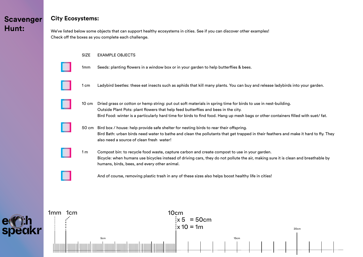er rin<br>speakr

H₩

#### **City Ecosystems:**

We've listed below some objects that can support healthy ecosystems in cities. See if you can discover other examples! Check off the boxes as you complete each challenge.

|         | <b>SIZE</b>     | <b>EXAMPLE OBJECTS</b>                                                                                                                                                                                                                                                                                                                    |                                          |      |  |  |
|---------|-----------------|-------------------------------------------------------------------------------------------------------------------------------------------------------------------------------------------------------------------------------------------------------------------------------------------------------------------------------------------|------------------------------------------|------|--|--|
|         | 1 <sub>mm</sub> | Seeds: planting flowers in a window box or in your garden to help butterflies & bees.                                                                                                                                                                                                                                                     |                                          |      |  |  |
|         | 1 cm            | Ladybird beetles: these eat insects such as aphids that kill many plants. You can buy and release ladybirds into your garden.                                                                                                                                                                                                             |                                          |      |  |  |
|         | 10 cm           | Dried grass or cotton or hemp string: put out soft materials in spring time for birds to use in nest-building.<br>Outside Plant Pots: plant flowers that help feed butterflies and bees in the city.<br>Bird Food: winter is a particularly hard time for birds to find food. Hang up mesh bags or other containers filled with suet/fat. |                                          |      |  |  |
|         | 50 cm           | Bird box / house: help provide safe shelter for nesting birds to rear their offspring.<br>Bird Bath: urban birds need water to bathe and clean the pollutants that get trapped in their feathers and make it hard to fly. They<br>also need a source of clean fresh water!                                                                |                                          |      |  |  |
|         | 1 <sub>m</sub>  | Compost bin: to recycle food waste, capture carbon and create compost to use in your garden.<br>Bicycle: when humans use bicycles instead of driving cars, they do not pollute the air, making sure it is clean and breathable by<br>humans, birds, bees, and every other animal.                                                         |                                          |      |  |  |
|         |                 | And of course, removing plastic trash in any of these sizes also helps boost healthy life in cities!                                                                                                                                                                                                                                      |                                          |      |  |  |
|         |                 |                                                                                                                                                                                                                                                                                                                                           |                                          |      |  |  |
| 1mm 1cm |                 | 10 <sub>cm</sub>                                                                                                                                                                                                                                                                                                                          | $1x 5 = 50cm$<br>$\frac{1}{2}$ x 10 = 1m | 20cm |  |  |
|         |                 | 5cm                                                                                                                                                                                                                                                                                                                                       | 15cm                                     |      |  |  |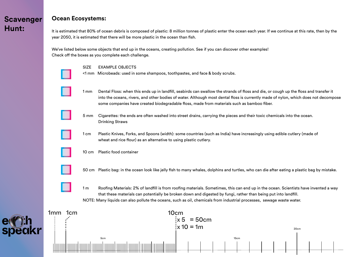#### **Ocean Ecosystems:**

It is estimated that 80% of ocean debris is composed of plastic: 8 million tonnes of plastic enter the ocean each year. If we continue at this rate, then by the year 2050, it is estimated that there will be more plastic in the ocean than fish.

We've listed below some objects that end up in the oceans, creating pollution. See if you can discover other examples! Check off the boxes as you complete each challenge.

SIZE EXAMPLE OBJECTS

<1 mm Microbeads: used in some shampoos, toothpastes, and face & body scrubs.

 1 mm Dental Floss: when this ends up in landfill, seabirds can swallow the strands of floss and die, or cough up the floss and transfer it into the oceans, rivers, and other bodies of water. Although most dental floss is currently made of nylon, which does not decompose some companies have created biodegradable floss, made from materials such as bamboo fiber.



 5 mm Cigarettes: the ends are often washed into street drains, carrying the pieces and their toxic chemicals into the ocean. Drinking Straws





50 cm Plastic bag: in the ocean look like jelly fish to many whales, dolphins and turtles, who can die after eating a plastic bag by mistake.

 1 m Roofing Materials: 2% of landfill is from roofing materials. Sometimes, this can end up in the ocean. Scientists have invented a way that these materials can potentially be broken down and digested by fungi, rather than being put into landfill. NOTE: Many liquids can also pollute the oceans, such as oil, chemicals from industrial processes, sewage waste water.

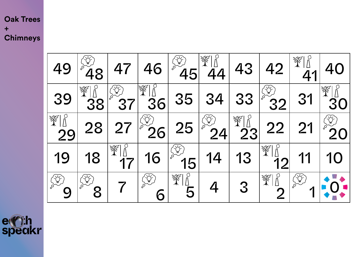## **Oak Trees + Chimneys**